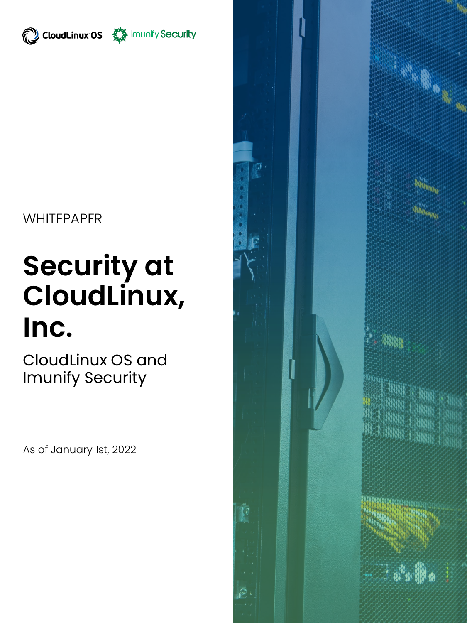

# CloudLinux OS **A** imunify Security

# **WHITEPAPER**

# **Security at CloudLinux, Inc.**

CloudLinux OS and Imunify Security

As of January 1st, 2022

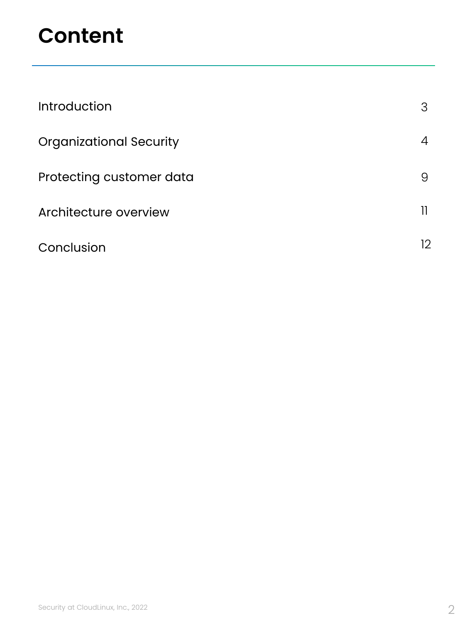# **Content**

| <b>Introduction</b>            | 3   |
|--------------------------------|-----|
| <b>Organizational Security</b> | 4   |
| Protecting customer data       | 9   |
| Architecture overview          | 11. |
| Conclusion                     | 12  |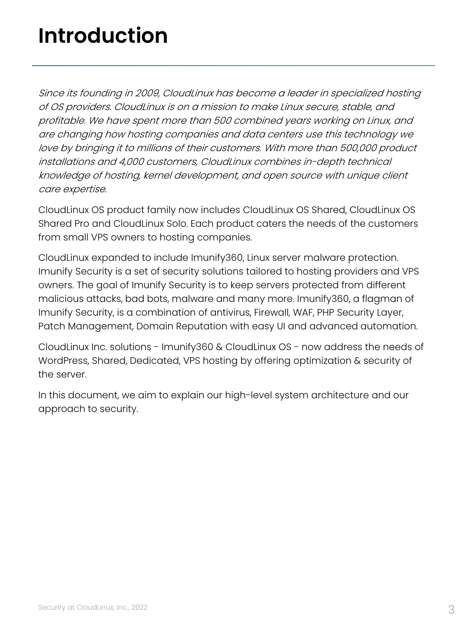# <span id="page-2-0"></span>**Introduction**

Since its founding in 2009, CloudLinux has become a leader in specialized hosting of OS providers. CloudLinux is on a mission to make Linux secure, stable, and profitable. We have spent more than 500 combined years working on Linux, and are changing how hosting companies and data centers use this technology we love by bringing it to millions of their customers. With more than 500,000 product installations and 4,000 customers, CloudLinux combines in-depth technical knowledge of hosting, kernel development, and open source with unique client care expertise.

CloudLinux OS product family now includes CloudLinux OS Shared, CloudLinux OS Shared Pro and CloudLinux Solo. Each product caters the needs of the customers from small VPS owners to hosting companies.

CloudLinux expanded to include Imunify360, Linux server malware protection. Imunify Security is a set of security solutions tailored to hosting providers and VPS owners. The goal of Imunify Security is to keep servers protected from different malicious attacks, bad bots, malware and many more. Imunify360, a flagman of Imunify Security, is a combination of antivirus, Firewall, WAF, PHP Security Layer, Patch Management, Domain Reputation with easy UI and advanced automation.

CloudLinux Inc. solutions - Imunify360 & CloudLinux OS - now address the needs of WordPress, Shared, Dedicated, VPS hosting by offering optimization & security of the server.

In this document, we aim to explain our high-level system architecture and our approach to security.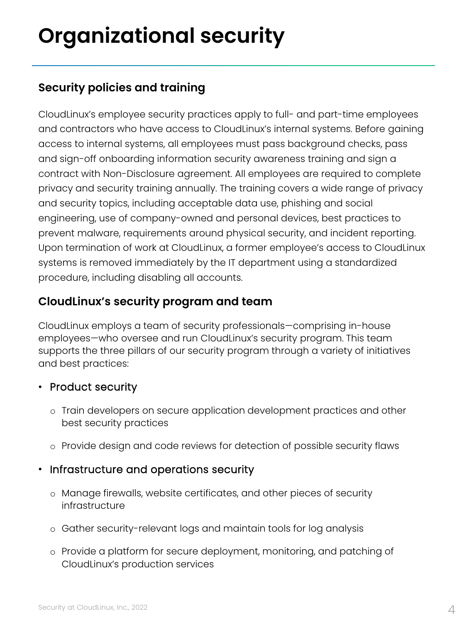# <span id="page-3-0"></span>**Organizational security**

# **Security policies and training**

CloudLinux's employee security practices apply to full- and part-time employees and contractors who have access to CloudLinux's internal systems. Before gaining access to internal systems, all employees must pass background checks, pass and sign-off onboarding information security awareness training and sign a contract with Non-Disclosure agreement. All employees are required to complete privacy and security training annually. The training covers a wide range of privacy and security topics, including acceptable data use, phishing and social engineering, use of company-owned and personal devices, best practices to prevent malware, requirements around physical security, and incident reporting. Upon termination of work at CloudLinux, a former employee's access to CloudLinux systems is removed immediately by the IT department using a standardized procedure, including disabling all accounts.

### **CloudLinux's security program and team**

CloudLinux employs a team of security professionals—comprising in-house employees—who oversee and run CloudLinux's security program. This team supports the three pillars of our security program through a variety of initiatives and best practices:

#### • Product security

- o Train developers on secure application development practices and other best security practices
- o Provide design and code reviews for detection of possible security flaws

#### • Infrastructure and operations security

- o Manage firewalls, website certificates, and other pieces of security infrastructure
- o Gather security-relevant logs and maintain tools for log analysis
- o Provide a platform for secure deployment, monitoring, and patching of CloudLinux's production services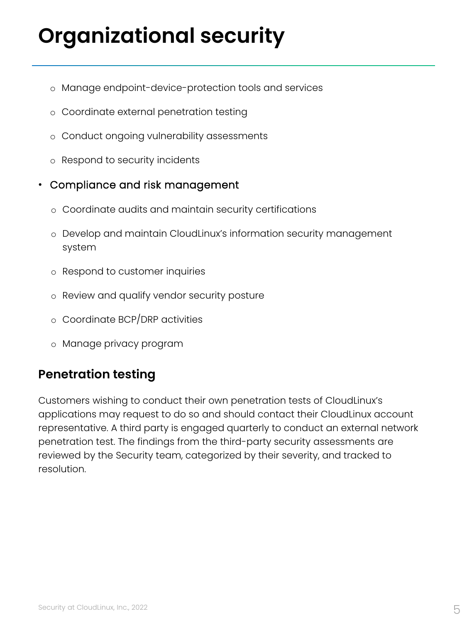# **Organizational security**

- o Manage endpoint-device-protection tools and services
- o Coordinate external penetration testing
- o Conduct ongoing vulnerability assessments
- o Respond to security incidents

#### • Compliance and risk management

- o Coordinate audits and maintain security certifications
- o Develop and maintain CloudLinux's information security management system
- o Respond to customer inquiries
- o Review and qualify vendor security posture
- o Coordinate BCP/DRP activities
- o Manage privacy program

# **Penetration testing**

Customers wishing to conduct their own penetration tests of CloudLinux's applications may request to do so and should contact their CloudLinux account representative. A third party is engaged quarterly to conduct an external network penetration test. The findings from the third-party security assessments are reviewed by the Security team, categorized by their severity, and tracked to resolution.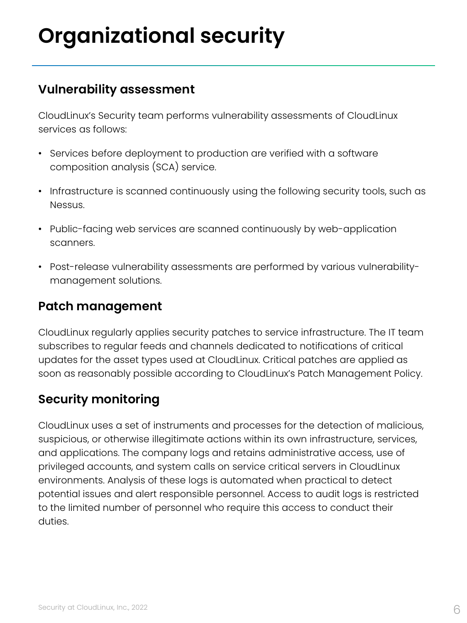# **Organizational security**

# **Vulnerability assessment**

CloudLinux's Security team performs vulnerability assessments of CloudLinux services as follows:

- Services before deployment to production are verified with a software composition analysis (SCA) service.
- Infrastructure is scanned continuously using the following security tools, such as Nessus.
- Public-facing web services are scanned continuously by web-application scanners.
- Post-release vulnerability assessments are performed by various vulnerabilitymanagement solutions.

### **Patch management**

CloudLinux regularly applies security patches to service infrastructure. The IT team subscribes to regular feeds and channels dedicated to notifications of critical updates for the asset types used at CloudLinux. Critical patches are applied as soon as reasonably possible according to CloudLinux's Patch Management Policy.

# **Security monitoring**

CloudLinux uses a set of instruments and processes for the detection of malicious, suspicious, or otherwise illegitimate actions within its own infrastructure, services, and applications. The company logs and retains administrative access, use of privileged accounts, and system calls on service critical servers in CloudLinux environments. Analysis of these logs is automated when practical to detect potential issues and alert responsible personnel. Access to audit logs is restricted to the limited number of personnel who require this access to conduct their duties.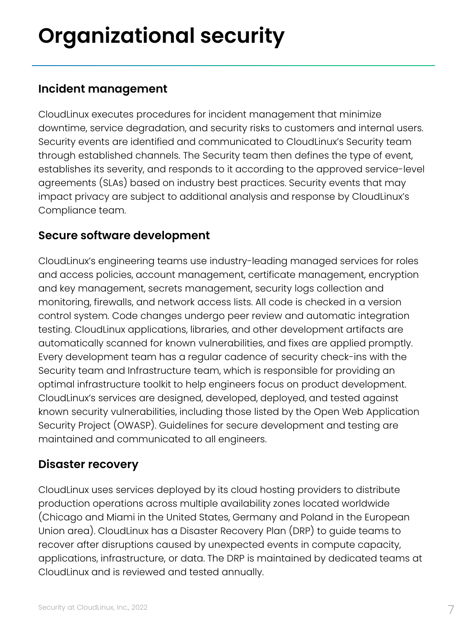# **Incident management**

CloudLinux executes procedures for incident management that minimize downtime, service degradation, and security risks to customers and internal users. Security events are identified and communicated to CloudLinux's Security team through established channels. The Security team then defines the type of event, establishes its severity, and responds to it according to the approved service-level agreements (SLAs) based on industry best practices. Security events that may impact privacy are subject to additional analysis and response by CloudLinux's Compliance team.

### **Secure software development**

CloudLinux's engineering teams use industry-leading managed services for roles and access policies, account management, certificate management, encryption and key management, secrets management, security logs collection and monitoring, firewalls, and network access lists. All code is checked in a version control system. Code changes undergo peer review and automatic integration testing. CloudLinux applications, libraries, and other development artifacts are automatically scanned for known vulnerabilities, and fixes are applied promptly. Every development team has a regular cadence of security check-ins with the Security team and Infrastructure team, which is responsible for providing an optimal infrastructure toolkit to help engineers focus on product development. CloudLinux's services are designed, developed, deployed, and tested against known security vulnerabilities, including those listed by the Open Web Application Security Project (OWASP). Guidelines for secure development and testing are maintained and communicated to all engineers.

# **Disaster recovery**

CloudLinux uses services deployed by its cloud hosting providers to distribute production operations across multiple availability zones located worldwide (Chicago and Miami in the United States, Germany and Poland in the European Union area). CloudLinux has a Disaster Recovery Plan (DRP) to guide teams to recover after disruptions caused by unexpected events in compute capacity, applications, infrastructure, or data. The DRP is maintained by dedicated teams at CloudLinux and is reviewed and tested annually.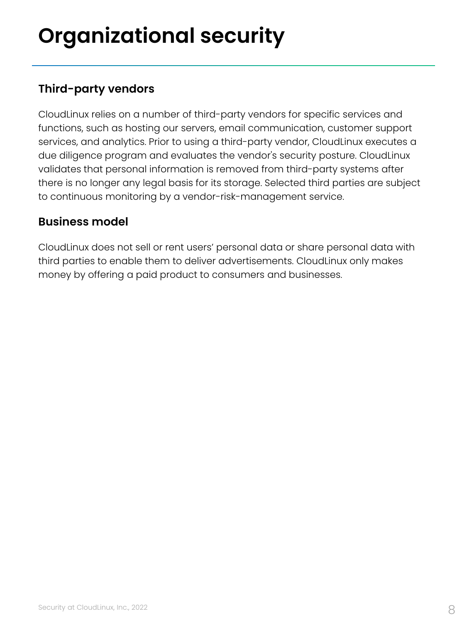# **Third-party vendors**

CloudLinux relies on a number of third-party vendors for specific services and functions, such as hosting our servers, email communication, customer support services, and analytics. Prior to using a third-party vendor, CloudLinux executes a due diligence program and evaluates the vendor's security posture. CloudLinux validates that personal information is removed from third-party systems after there is no longer any legal basis for its storage. Selected third parties are subject to continuous monitoring by a vendor-risk-management service.

### **Business model**

CloudLinux does not sell or rent users' personal data or share personal data with third parties to enable them to deliver advertisements. CloudLinux only makes money by offering a paid product to consumers and businesses.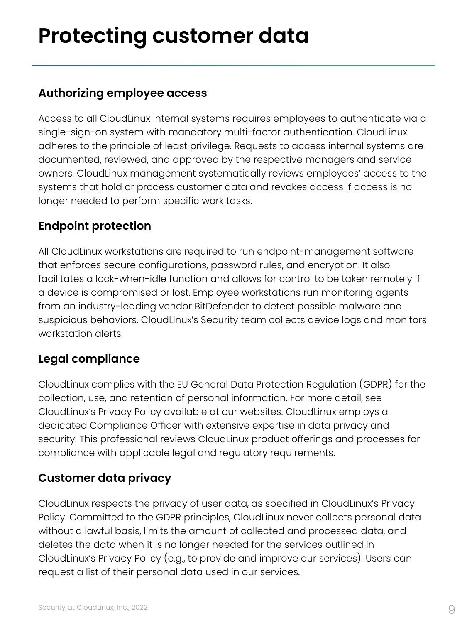# <span id="page-8-0"></span>**Protecting customer data**

### **Authorizing employee access**

Access to all CloudLinux internal systems requires employees to authenticate via a single-sign-on system with mandatory multi-factor authentication. CloudLinux adheres to the principle of least privilege. Requests to access internal systems are documented, reviewed, and approved by the respective managers and service owners. CloudLinux management systematically reviews employees' access to the systems that hold or process customer data and revokes access if access is no longer needed to perform specific work tasks.

### **Endpoint protection**

All CloudLinux workstations are required to run endpoint-management software that enforces secure configurations, password rules, and encryption. It also facilitates a lock-when-idle function and allows for control to be taken remotely if a device is compromised or lost. Employee workstations run monitoring agents from an industry-leading vendor BitDefender to detect possible malware and suspicious behaviors. CloudLinux's Security team collects device logs and monitors workstation alerts.

### **Legal compliance**

CloudLinux complies with the EU General Data Protection Regulation (GDPR) for the collection, use, and retention of personal information. For more detail, see CloudLinux's Privacy Policy available at our websites. CloudLinux employs a dedicated Compliance Officer with extensive expertise in data privacy and security. This professional reviews CloudLinux product offerings and processes for compliance with applicable legal and regulatory requirements.

### **Customer data privacy**

CloudLinux respects the privacy of user data, as specified in CloudLinux's Privacy Policy. Committed to the GDPR principles, CloudLinux never collects personal data without a lawful basis, limits the amount of collected and processed data, and deletes the data when it is no longer needed for the services outlined in CloudLinux's Privacy Policy (e.g., to provide and improve our services). Users can request a list of their personal data used in our services.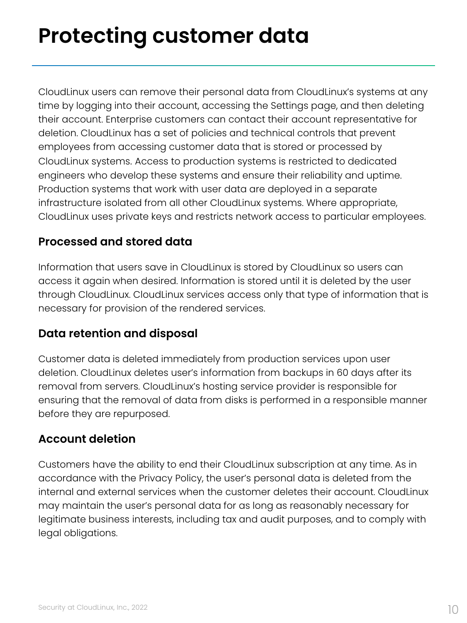# **Protecting customer data**

CloudLinux users can remove their personal data from CloudLinux's systems at any time by logging into their account, accessing the Settings page, and then deleting their account. Enterprise customers can contact their account representative for deletion. CloudLinux has a set of policies and technical controls that prevent employees from accessing customer data that is stored or processed by CloudLinux systems. Access to production systems is restricted to dedicated engineers who develop these systems and ensure their reliability and uptime. Production systems that work with user data are deployed in a separate infrastructure isolated from all other CloudLinux systems. Where appropriate, CloudLinux uses private keys and restricts network access to particular employees.

#### **Processed and stored data**

Information that users save in CloudLinux is stored by CloudLinux so users can access it again when desired. Information is stored until it is deleted by the user through CloudLinux. CloudLinux services access only that type of information that is necessary for provision of the rendered services.

### **Data retention and disposal**

Customer data is deleted immediately from production services upon user deletion. CloudLinux deletes user's information from backups in 60 days after its removal from servers. CloudLinux's hosting service provider is responsible for ensuring that the removal of data from disks is performed in a responsible manner before they are repurposed.

### **Account deletion**

Customers have the ability to end their CloudLinux subscription at any time. As in accordance with the Privacy Policy, the user's personal data is deleted from the internal and external services when the customer deletes their account. CloudLinux may maintain the user's personal data for as long as reasonably necessary for legitimate business interests, including tax and audit purposes, and to comply with legal obligations.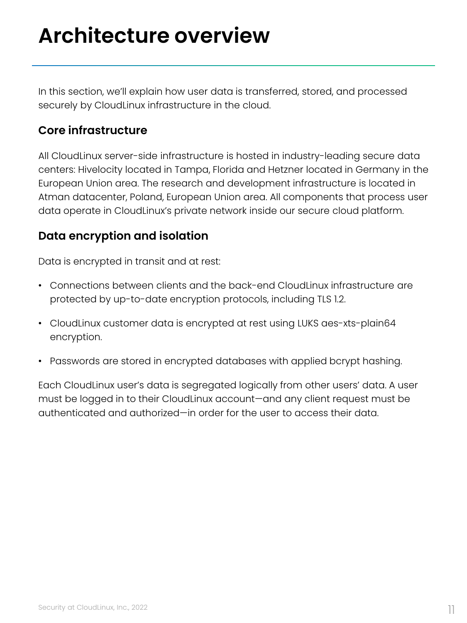# <span id="page-10-0"></span>**Architecture overview**

In this section, we'll explain how user data is transferred, stored, and processed securely by CloudLinux infrastructure in the cloud.

### **Core infrastructure**

All CloudLinux server-side infrastructure is hosted in industry-leading secure data centers: Hivelocity located in Tampa, Florida and Hetzner located in Germany in the European Union area. The research and development infrastructure is located in Atman datacenter, Poland, European Union area. All components that process user data operate in CloudLinux's private network inside our secure cloud platform.

#### **Data encryption and isolation**

Data is encrypted in transit and at rest:

- Connections between clients and the back-end CloudLinux infrastructure are protected by up-to-date encryption protocols, including TLS 1.2.
- CloudLinux customer data is encrypted at rest using LUKS aes-xts-plain64 encryption.
- Passwords are stored in encrypted databases with applied bcrypt hashing.

Each CloudLinux user's data is segregated logically from other users' data. A user must be logged in to their CloudLinux account—and any client request must be authenticated and authorized—in order for the user to access their data.